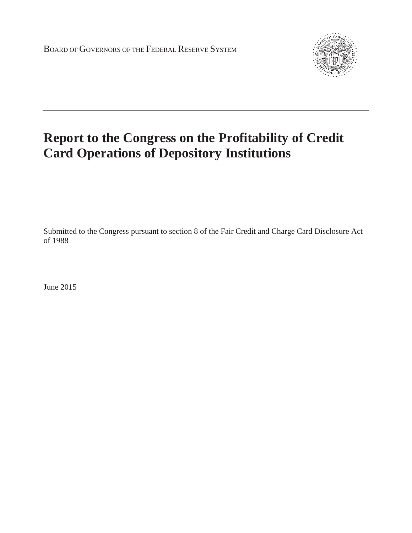

## **Report to the Congress on the Profitability of Credit Card Operations of Depository Institutions**

Submitted to the Congress pursuant to section 8 of the Fair Credit and Charge Card Disclosure Act of 1988

June 2015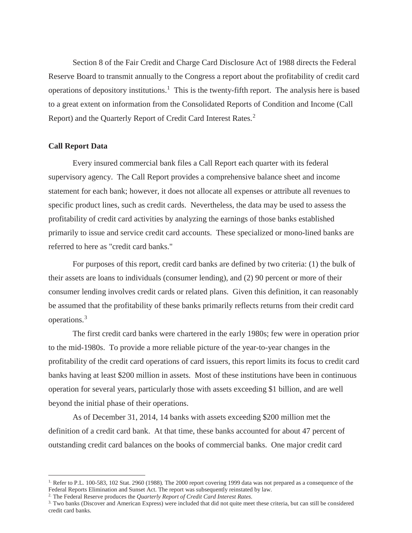Section 8 of the Fair Credit and Charge Card Disclosure Act of 1988 directs the Federal Reserve Board to transmit annually to the Congress a report about the profitability of credit card operations of depository institutions.<sup>1</sup> This is the twenty-fifth report. The analysis here is based to a great extent on information from the Consolidated Reports of Condition and Income (Call Report) and the Quarterly Report of Credit Card Interest Rates.<sup>2</sup>

## **Call Report Data**

Every insured commercial bank files a Call Report each quarter with its federal supervisory agency. The Call Report provides a comprehensive balance sheet and income statement for each bank; however, it does not allocate all expenses or attribute all revenues to specific product lines, such as credit cards. Nevertheless, the data may be used to assess the profitability of credit card activities by analyzing the earnings of those banks established primarily to issue and service credit card accounts. These specialized or mono-lined banks are referred to here as "credit card banks."

For purposes of this report, credit card banks are defined by two criteria: (1) the bulk of their assets are loans to individuals (consumer lending), and (2) 90 percent or more of their consumer lending involves credit cards or related plans. Given this definition, it can reasonably be assumed that the profitability of these banks primarily reflects returns from their credit card operations.<sup>3</sup>

The first credit card banks were chartered in the early 1980s; few were in operation prior to the mid-1980s. To provide a more reliable picture of the year-to-year changes in the profitability of the credit card operations of card issuers, this report limits its focus to credit card banks having at least \$200 million in assets. Most of these institutions have been in continuous operation for several years, particularly those with assets exceeding \$1 billion, and are well beyond the initial phase of their operations.

As of December 31, 2014, 14 banks with assets exceeding \$200 million met the definition of a credit card bank. At that time, these banks accounted for about 47 percent of outstanding credit card balances on the books of commercial banks. One major credit card

 $1.$  Refer to P.L. 100-583, 102 Stat. 2960 (1988). The 2000 report covering 1999 data was not prepared as a consequence of the Federal Reports Elimination and Sunset Act. The report was subsequently reinstated by law.

<sup>2.</sup> The Federal Reserve produces the *Quarterly Report of Credit Card Interest Rates*.

<sup>3.</sup> Two banks (Discover and American Express) were included that did not quite meet these criteria, but can still be considered credit card banks.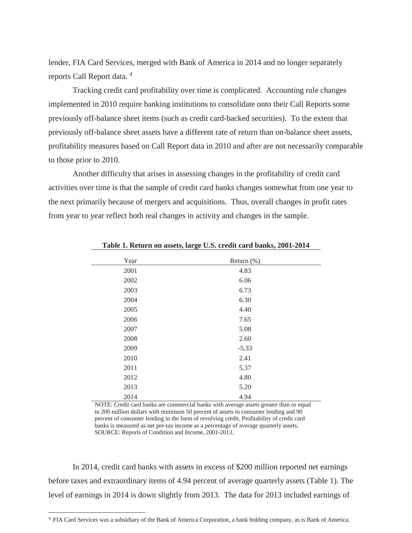lender, FIA Card Services, merged with Bank of America in 2014 and no longer separately reports Call Report data. <sup>4</sup>

Tracking credit card profitability over time is complicated. Accounting rule changes implemented in 2010 require banking institutions to consolidate onto their Call Reports some previously off-balance sheet items (such as credit card-backed securities). To the extent that previously off-balance sheet assets have a different rate of return than on-balance sheet assets, profitability measures based on Call Report data in 2010 and after are not necessarily comparable to those prior to 2010.

Another difficulty that arises in assessing changes in the profitability of credit card activities over time is that the sample of credit card banks changes somewhat from one year to the next primarily because of mergers and acquisitions. Thus, overall changes in profit rates from year to year reflect both real changes in activity and changes in the sample.

| Year | Return $(\%)$ |  |
|------|---------------|--|
| 2001 | 4.83          |  |
| 2002 | 6.06          |  |
| 2003 | 6.73          |  |
| 2004 | 6.30          |  |
| 2005 | 4.40          |  |
| 2006 | 7.65          |  |
| 2007 | 5.08          |  |
| 2008 | 2.60          |  |
| 2009 | $-5.33$       |  |
| 2010 | 2.41          |  |
| 2011 | 5.37          |  |
| 2012 | 4.80          |  |
| 2013 | 5.20          |  |
| 2014 | 4.94          |  |

**Table 1. Return on assets, large U.S. credit card banks, 2001-2014**

NOTE: Credit card banks are commercial banks with average assets greater than or equal to 200 million dollars with minimum 50 percent of assets in consumer lending and 90 percent of consumer lending in the form of revolving credit. Profitability of credit card banks is measured as net pre-tax income as a percentage of average quarterly assets. SOURCE: Reports of Condition and Income, 2001-2013.

In 2014, credit card banks with assets in excess of \$200 million reported net earnings before taxes and extraordinary items of 4.94 percent of average quarterly assets (Table 1). The level of earnings in 2014 is down slightly from 2013. The data for 2013 included earnings of

<sup>4.</sup> FIA Card Services was a subsidiary of the Bank of America Corporation, a bank holding company, as is Bank of America.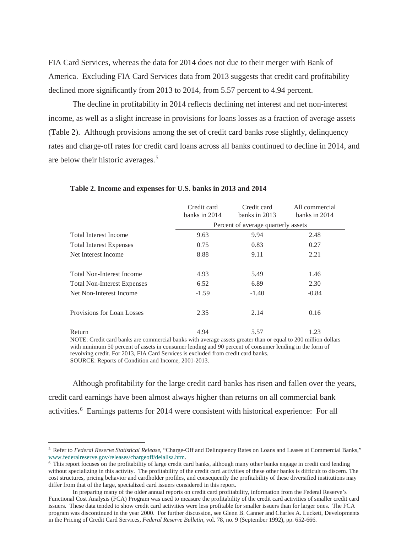FIA Card Services, whereas the data for 2014 does not due to their merger with Bank of America. Excluding FIA Card Services data from 2013 suggests that credit card profitability declined more significantly from 2013 to 2014, from 5.57 percent to 4.94 percent.

The decline in profitability in 2014 reflects declining net interest and net non-interest income, as well as a slight increase in provisions for loans losses as a fraction of average assets (Table 2). Although provisions among the set of credit card banks rose slightly, delinquency rates and charge-off rates for credit card loans across all banks continued to decline in 2014, and are below their historic averages.<sup>5</sup>

|                                    | Credit card<br>banks in 2014        | Credit card<br>banks in 2013 | All commercial<br>banks in 2014 |
|------------------------------------|-------------------------------------|------------------------------|---------------------------------|
|                                    | Percent of average quarterly assets |                              |                                 |
| <b>Total Interest Income</b>       | 9.63                                | 9.94                         | 2.48                            |
| <b>Total Interest Expenses</b>     | 0.75                                | 0.83                         | 0.27                            |
| Net Interest Income                | 8.88                                | 9.11                         | 2.21                            |
|                                    |                                     |                              |                                 |
| <b>Total Non-Interest Income</b>   | 4.93                                | 5.49                         | 1.46                            |
| <b>Total Non-Interest Expenses</b> | 6.52                                | 6.89                         | 2.30                            |
| Net Non-Interest Income            | $-1.59$                             | $-1.40$                      | $-0.84$                         |
|                                    |                                     |                              |                                 |
| Provisions for Loan Losses         | 2.35                                | 2.14                         | 0.16                            |
|                                    |                                     |                              |                                 |
| Return                             | 4.94                                | 5.57                         | 1.23                            |

**Table 2. Income and expenses for U.S. banks in 2013 and 2014**

NOTE: Credit card banks are commercial banks with average assets greater than or equal to 200 million dollars with minimum 50 percent of assets in consumer lending and 90 percent of consumer lending in the form of revolving credit. For 2013, FIA Card Services is excluded from credit card banks. SOURCE: Reports of Condition and Income, 2001-2013.

Although profitability for the large credit card banks has risen and fallen over the years, credit card earnings have been almost always higher than returns on all commercial bank activities.<sup>6</sup> Earnings patterns for 2014 were consistent with historical experience: For all

<sup>5.</sup> Refer to *Federal Reserve Statistical Release*, "Charge-Off and Delinquency Rates on Loans and Leases at Commercial Banks," www.federalreserve.gov/releases/chargeoff/delallsa.htm.

<sup>6.</sup> This report focuses on the profitability of large credit card banks, although many other banks engage in credit card lending without specializing in this activity. The profitability of the credit card activities of these other banks is difficult to discern. The cost structures, pricing behavior and cardholder profiles, and consequently the profitability of these diversified institutions may differ from that of the large, specialized card issuers considered in this report.

In preparing many of the older annual reports on credit card profitability, information from the Federal Reserve's Functional Cost Analysis (FCA) Program was used to measure the profitability of the credit card activities of smaller credit card issuers. These data tended to show credit card activities were less profitable for smaller issuers than for larger ones. The FCA program was discontinued in the year 2000. For further discussion, see Glenn B. Canner and Charles A. Luckett, Developments in the Pricing of Credit Card Services, *Federal Reserve Bulletin*, vol. 78, no. 9 (September 1992), pp. 652-666.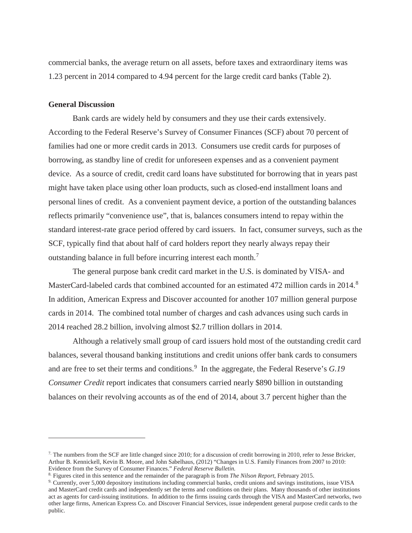commercial banks, the average return on all assets, before taxes and extraordinary items was 1.23 percent in 2014 compared to 4.94 percent for the large credit card banks (Table 2).

## **General Discussion**

Bank cards are widely held by consumers and they use their cards extensively. According to the Federal Reserve's Survey of Consumer Finances (SCF) about 70 percent of families had one or more credit cards in 2013. Consumers use credit cards for purposes of borrowing, as standby line of credit for unforeseen expenses and as a convenient payment device. As a source of credit, credit card loans have substituted for borrowing that in years past might have taken place using other loan products, such as closed-end installment loans and personal lines of credit. As a convenient payment device, a portion of the outstanding balances reflects primarily "convenience use", that is, balances consumers intend to repay within the standard interest-rate grace period offered by card issuers. In fact, consumer surveys, such as the SCF, typically find that about half of card holders report they nearly always repay their outstanding balance in full before incurring interest each month.<sup>7</sup>

The general purpose bank credit card market in the U.S. is dominated by VISA- and MasterCard-labeled cards that combined accounted for an estimated 472 million cards in 2014.<sup>8</sup> In addition, American Express and Discover accounted for another 107 million general purpose cards in 2014. The combined total number of charges and cash advances using such cards in 2014 reached 28.2 billion, involving almost \$2.7 trillion dollars in 2014.

Although a relatively small group of card issuers hold most of the outstanding credit card balances, several thousand banking institutions and credit unions offer bank cards to consumers and are free to set their terms and conditions.<sup>9</sup> In the aggregate, the Federal Reserve's *G.19 Consumer Credit* report indicates that consumers carried nearly \$890 billion in outstanding balances on their revolving accounts as of the end of 2014, about 3.7 percent higher than the

<sup>7.</sup> The numbers from the SCF are little changed since 2010; for a discussion of credit borrowing in 2010, refer to Jesse Bricker, Arthur B. Kennickell, Kevin B. Moore, and John Sabelhaus*,* (2012) "Changes in U.S. Family Finances from 2007 to 2010: Evidence from the Survey of Consumer Finances." *Federal Reserve Bulletin.*

<sup>8.</sup> Figures cited in this sentence and the remainder of the paragraph is from *The Nilson Report*, February 2015.

<sup>9.</sup> Currently, over 5,000 depository institutions including commercial banks, credit unions and savings institutions, issue VISA and MasterCard credit cards and independently set the terms and conditions on their plans. Many thousands of other institutions act as agents for card-issuing institutions. In addition to the firms issuing cards through the VISA and MasterCard networks, two other large firms, American Express Co. and Discover Financial Services, issue independent general purpose credit cards to the public.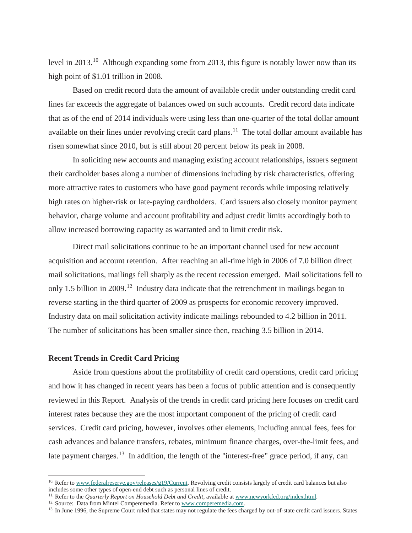level in 2013.<sup>10</sup> Although expanding some from 2013, this figure is notably lower now than its high point of \$1.01 trillion in 2008.

Based on credit record data the amount of available credit under outstanding credit card lines far exceeds the aggregate of balances owed on such accounts. Credit record data indicate that as of the end of 2014 individuals were using less than one-quarter of the total dollar amount available on their lines under revolving credit card plans.<sup>11</sup> The total dollar amount available has risen somewhat since 2010, but is still about 20 percent below its peak in 2008.

In soliciting new accounts and managing existing account relationships, issuers segment their cardholder bases along a number of dimensions including by risk characteristics, offering more attractive rates to customers who have good payment records while imposing relatively high rates on higher-risk or late-paying cardholders. Card issuers also closely monitor payment behavior, charge volume and account profitability and adjust credit limits accordingly both to allow increased borrowing capacity as warranted and to limit credit risk.

Direct mail solicitations continue to be an important channel used for new account acquisition and account retention. After reaching an all-time high in 2006 of 7.0 billion direct mail solicitations, mailings fell sharply as the recent recession emerged. Mail solicitations fell to only 1.5 billion in 2009.<sup>12</sup> Industry data indicate that the retrenchment in mailings began to reverse starting in the third quarter of 2009 as prospects for economic recovery improved. Industry data on mail solicitation activity indicate mailings rebounded to 4.2 billion in 2011. The number of solicitations has been smaller since then, reaching 3.5 billion in 2014.

## **Recent Trends in Credit Card Pricing**

Aside from questions about the profitability of credit card operations, credit card pricing and how it has changed in recent years has been a focus of public attention and is consequently reviewed in this Report. Analysis of the trends in credit card pricing here focuses on credit card interest rates because they are the most important component of the pricing of credit card services. Credit card pricing, however, involves other elements, including annual fees, fees for cash advances and balance transfers, rebates, minimum finance charges, over-the-limit fees, and late payment charges.<sup>13</sup> In addition, the length of the "interest-free" grace period, if any, can

<sup>&</sup>lt;sup>10.</sup> Refer to www.federalreserve.gov/releases/g19/Current. Revolving credit consists largely of credit card balances but also includes some other types of open-end debt such as personal lines of credit.

<sup>&</sup>lt;sup>11.</sup> Refer to the *Quarterly Report on Household Debt and Credit*, available at www.newyorkfed.org/index.html.

<sup>&</sup>lt;sup>12.</sup> Source: Data from Mintel Comperemedia. Refer to www.comperemedia.com.

<sup>&</sup>lt;sup>13.</sup> In June 1996, the Supreme Court ruled that states may not regulate the fees charged by out-of-state credit card issuers. States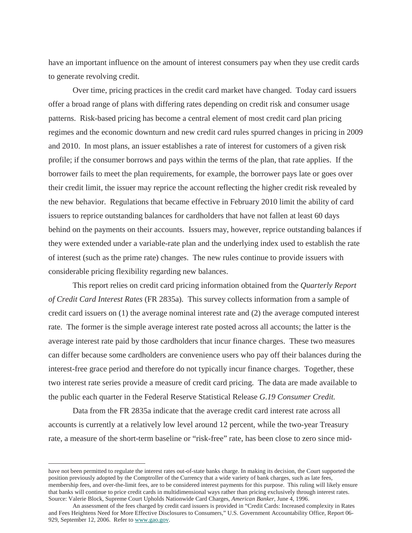have an important influence on the amount of interest consumers pay when they use credit cards to generate revolving credit.

Over time, pricing practices in the credit card market have changed. Today card issuers offer a broad range of plans with differing rates depending on credit risk and consumer usage patterns. Risk-based pricing has become a central element of most credit card plan pricing regimes and the economic downturn and new credit card rules spurred changes in pricing in 2009 and 2010. In most plans, an issuer establishes a rate of interest for customers of a given risk profile; if the consumer borrows and pays within the terms of the plan, that rate applies. If the borrower fails to meet the plan requirements, for example, the borrower pays late or goes over their credit limit, the issuer may reprice the account reflecting the higher credit risk revealed by the new behavior. Regulations that became effective in February 2010 limit the ability of card issuers to reprice outstanding balances for cardholders that have not fallen at least 60 days behind on the payments on their accounts. Issuers may, however, reprice outstanding balances if they were extended under a variable-rate plan and the underlying index used to establish the rate of interest (such as the prime rate) changes. The new rules continue to provide issuers with considerable pricing flexibility regarding new balances.

This report relies on credit card pricing information obtained from the *Quarterly Report of Credit Card Interest Rates* (FR 2835a). This survey collects information from a sample of credit card issuers on (1) the average nominal interest rate and (2) the average computed interest rate. The former is the simple average interest rate posted across all accounts; the latter is the average interest rate paid by those cardholders that incur finance charges. These two measures can differ because some cardholders are convenience users who pay off their balances during the interest-free grace period and therefore do not typically incur finance charges. Together, these two interest rate series provide a measure of credit card pricing. The data are made available to the public each quarter in the Federal Reserve Statistical Release *G.19 Consumer Credit.*

Data from the FR 2835a indicate that the average credit card interest rate across all accounts is currently at a relatively low level around 12 percent, while the two-year Treasury rate, a measure of the short-term baseline or "risk-free" rate, has been close to zero since mid-

have not been permitted to regulate the interest rates out-of-state banks charge. In making its decision, the Court supported the position previously adopted by the Comptroller of the Currency that a wide variety of bank charges, such as late fees, membership fees, and over-the-limit fees, are to be considered interest payments for this purpose. This ruling will likely ensure that banks will continue to price credit cards in multidimensional ways rather than pricing exclusively through interest rates. Source: Valerie Block, Supreme Court Upholds Nationwide Card Charges, *American Banker*, June 4, 1996.

An assessment of the fees charged by credit card issuers is provided in "Credit Cards: Increased complexity in Rates and Fees Heightens Need for More Effective Disclosures to Consumers," U.S. Government Accountability Office, Report 06- 929, September 12, 2006. Refer to www.gao.gov.